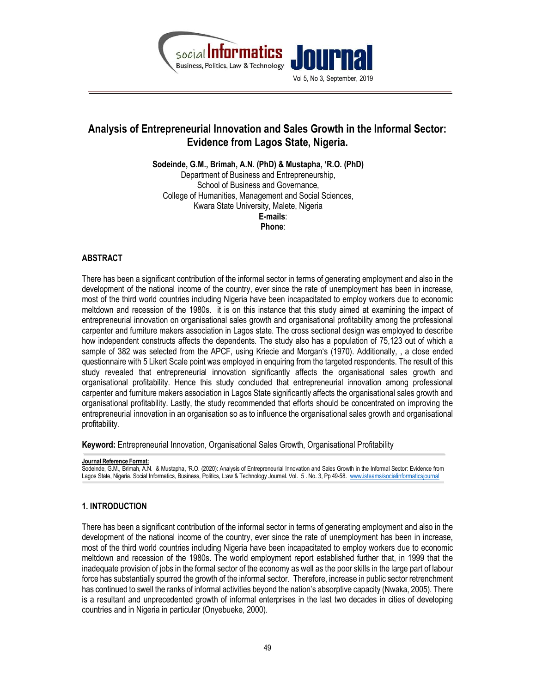

# Analysis of Entrepreneurial Innovation and Sales Growth in the Informal Sector: Evidence from Lagos State, Nigeria.

Sodeinde, G.M., Brimah, A.N. (PhD) & Mustapha, 'R.O. (PhD) Department of Business and Entrepreneurship, School of Business and Governance, College of Humanities, Management and Social Sciences, Kwara State University, Malete, Nigeria E-mails: Phone:

# ABSTRACT

There has been a significant contribution of the informal sector in terms of generating employment and also in the development of the national income of the country, ever since the rate of unemployment has been in increase, most of the third world countries including Nigeria have been incapacitated to employ workers due to economic meltdown and recession of the 1980s. it is on this instance that this study aimed at examining the impact of entrepreneurial innovation on organisational sales growth and organisational profitability among the professional carpenter and furniture makers association in Lagos state. The cross sectional design was employed to describe how independent constructs affects the dependents. The study also has a population of 75,123 out of which a sample of 382 was selected from the APCF, using Kriecie and Morgan's (1970). Additionally, , a close ended questionnaire with 5 Likert Scale point was employed in enquiring from the targeted respondents. The result of this study revealed that entrepreneurial innovation significantly affects the organisational sales growth and organisational profitability. Hence this study concluded that entrepreneurial innovation among professional carpenter and furniture makers association in Lagos State significantly affects the organisational sales growth and organisational profitability. Lastly, the study recommended that efforts should be concentrated on improving the entrepreneurial innovation in an organisation so as to influence the organisational sales growth and organisational profitability.

Keyword: Entrepreneurial Innovation, Organisational Sales Growth, Organisational Profitability

Journal Reference Format: Sodeinde, G.M., Brimah, A.N. & Mustapha, 'R.O. (2020): Analysis of Entrepreneurial Innovation and Sales Growth in the Informal Sector: Evidence from Lagos State, Nigeria. Social Informatics, Business, Politics, L:aw & Technology Journal. Vol. 5 . No. 3, Pp 49-58. www.isteams/socialinformaticsjournal

# 1. INTRODUCTION

There has been a significant contribution of the informal sector in terms of generating employment and also in the development of the national income of the country, ever since the rate of unemployment has been in increase, most of the third world countries including Nigeria have been incapacitated to employ workers due to economic meltdown and recession of the 1980s. The world employment report established further that, in 1999 that the inadequate provision of jobs in the formal sector of the economy as well as the poor skills in the large part of labour force has substantially spurred the growth of the informal sector. Therefore, increase in public sector retrenchment has continued to swell the ranks of informal activities beyond the nation's absorptive capacity (Nwaka, 2005). There is a resultant and unprecedented growth of informal enterprises in the last two decades in cities of developing countries and in Nigeria in particular (Onyebueke, 2000).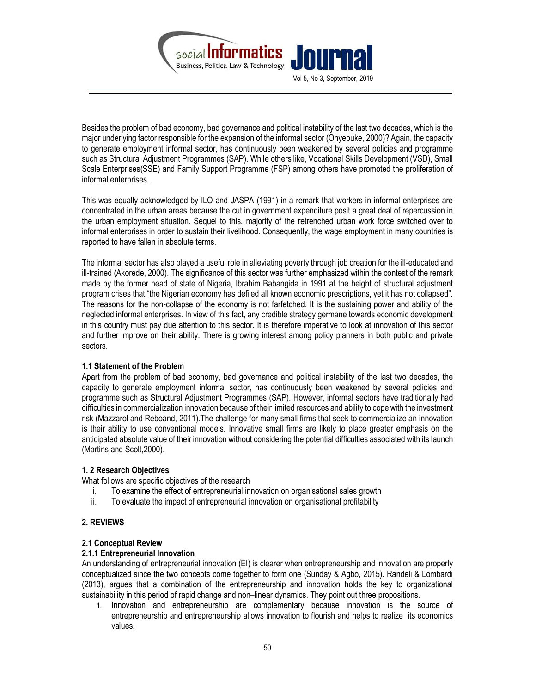

Besides the problem of bad economy, bad governance and political instability of the last two decades, which is the major underlying factor responsible for the expansion of the informal sector (Onyebuke, 2000)? Again, the capacity to generate employment informal sector, has continuously been weakened by several policies and programme such as Structural Adjustment Programmes (SAP). While others like, Vocational Skills Development (VSD), Small Scale Enterprises(SSE) and Family Support Programme (FSP) among others have promoted the proliferation of informal enterprises.

This was equally acknowledged by ILO and JASPA (1991) in a remark that workers in informal enterprises are concentrated in the urban areas because the cut in government expenditure posit a great deal of repercussion in the urban employment situation. Sequel to this, majority of the retrenched urban work force switched over to informal enterprises in order to sustain their livelihood. Consequently, the wage employment in many countries is reported to have fallen in absolute terms.

The informal sector has also played a useful role in alleviating poverty through job creation for the ill-educated and ill-trained (Akorede, 2000). The significance of this sector was further emphasized within the contest of the remark made by the former head of state of Nigeria, Ibrahim Babangida in 1991 at the height of structural adjustment program crises that "the Nigerian economy has defiled all known economic prescriptions, yet it has not collapsed". The reasons for the non-collapse of the economy is not farfetched. It is the sustaining power and ability of the neglected informal enterprises. In view of this fact, any credible strategy germane towards economic development in this country must pay due attention to this sector. It is therefore imperative to look at innovation of this sector and further improve on their ability. There is growing interest among policy planners in both public and private sectors.

## 1.1 Statement of the Problem

Apart from the problem of bad economy, bad governance and political instability of the last two decades, the capacity to generate employment informal sector, has continuously been weakened by several policies and programme such as Structural Adjustment Programmes (SAP). However, informal sectors have traditionally had difficulties in commercialization innovation because of their limited resources and ability to cope with the investment risk (Mazzarol and Reboand, 2011).The challenge for many small firms that seek to commercialize an innovation is their ability to use conventional models. Innovative small firms are likely to place greater emphasis on the anticipated absolute value of their innovation without considering the potential difficulties associated with its launch (Martins and Scolt,2000).

# 1. 2 Research Objectives

What follows are specific objectives of the research

- i. To examine the effect of entrepreneurial innovation on organisational sales growth
- ii. To evaluate the impact of entrepreneurial innovation on organisational profitability

# 2. REVIEWS

## 2.1 Conceptual Review

# 2.1.1 Entrepreneurial Innovation

An understanding of entrepreneurial innovation (EI) is clearer when entrepreneurship and innovation are properly conceptualized since the two concepts come together to form one (Sunday & Agbo, 2015). Randeli & Lombardi (2013), argues that a combination of the entrepreneurship and innovation holds the key to organizational sustainability in this period of rapid change and non–linear dynamics. They point out three propositions.

1. Innovation and entrepreneurship are complementary because innovation is the source of entrepreneurship and entrepreneurship allows innovation to flourish and helps to realize its economics values.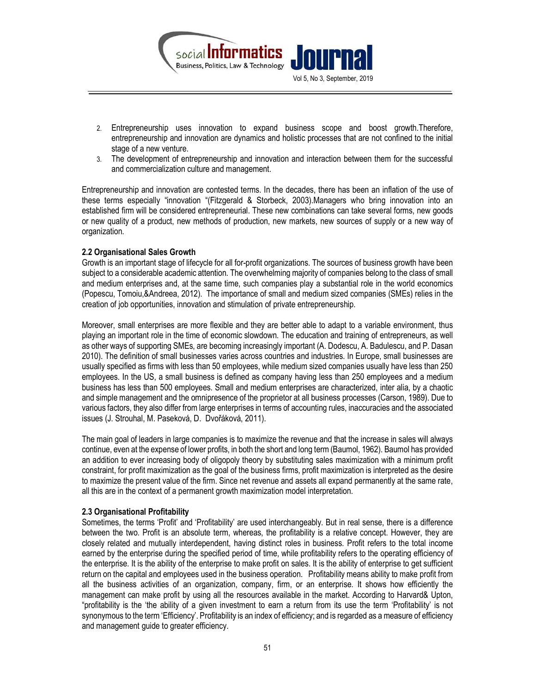

- 2. Entrepreneurship uses innovation to expand business scope and boost growth.Therefore, entrepreneurship and innovation are dynamics and holistic processes that are not confined to the initial stage of a new venture.
- 3. The development of entrepreneurship and innovation and interaction between them for the successful and commercialization culture and management.

Entrepreneurship and innovation are contested terms. In the decades, there has been an inflation of the use of these terms especially "innovation "(Fitzgerald & Storbeck, 2003).Managers who bring innovation into an established firm will be considered entrepreneurial. These new combinations can take several forms, new goods or new quality of a product, new methods of production, new markets, new sources of supply or a new way of organization.

## 2.2 Organisational Sales Growth

Growth is an important stage of lifecycle for all for-profit organizations. The sources of business growth have been subject to a considerable academic attention. The overwhelming majority of companies belong to the class of small and medium enterprises and, at the same time, such companies play a substantial role in the world economics (Popescu, Tomoiu,&Andreea, 2012). The importance of small and medium sized companies (SMEs) relies in the creation of job opportunities, innovation and stimulation of private entrepreneurship.

Moreover, small enterprises are more flexible and they are better able to adapt to a variable environment, thus playing an important role in the time of economic slowdown. The education and training of entrepreneurs, as well as other ways of supporting SMEs, are becoming increasingly important (A. Dodescu, A. Badulescu, and P. Dasan 2010). The definition of small businesses varies across countries and industries. In Europe, small businesses are usually specified as firms with less than 50 employees, while medium sized companies usually have less than 250 employees. In the US, a small business is defined as company having less than 250 employees and a medium business has less than 500 employees. Small and medium enterprises are characterized, inter alia, by a chaotic and simple management and the omnipresence of the proprietor at all business processes (Carson, 1989). Due to various factors, they also differ from large enterprises in terms of accounting rules, inaccuracies and the associated issues (J. Strouhal, M. Paseková, D. Dvořáková, 2011).

The main goal of leaders in large companies is to maximize the revenue and that the increase in sales will always continue, even at the expense of lower profits, in both the short and long term (Baumol, 1962). Baumol has provided an addition to ever increasing body of oligopoly theory by substituting sales maximization with a minimum profit constraint, for profit maximization as the goal of the business firms, profit maximization is interpreted as the desire to maximize the present value of the firm. Since net revenue and assets all expand permanently at the same rate, all this are in the context of a permanent growth maximization model interpretation.

## 2.3 Organisational Profitability

Sometimes, the terms 'Profit' and 'Profitability' are used interchangeably. But in real sense, there is a difference between the two. Profit is an absolute term, whereas, the profitability is a relative concept. However, they are closely related and mutually interdependent, having distinct roles in business. Profit refers to the total income earned by the enterprise during the specified period of time, while profitability refers to the operating efficiency of the enterprise. It is the ability of the enterprise to make profit on sales. It is the ability of enterprise to get sufficient return on the capital and employees used in the business operation. Profitability means ability to make profit from all the business activities of an organization, company, firm, or an enterprise. It shows how efficiently the management can make profit by using all the resources available in the market. According to Harvard& Upton, "profitability is the 'the ability of a given investment to earn a return from its use the term 'Profitability' is not synonymous to the term 'Efficiency'. Profitability is an index of efficiency; and is regarded as a measure of efficiency and management guide to greater efficiency.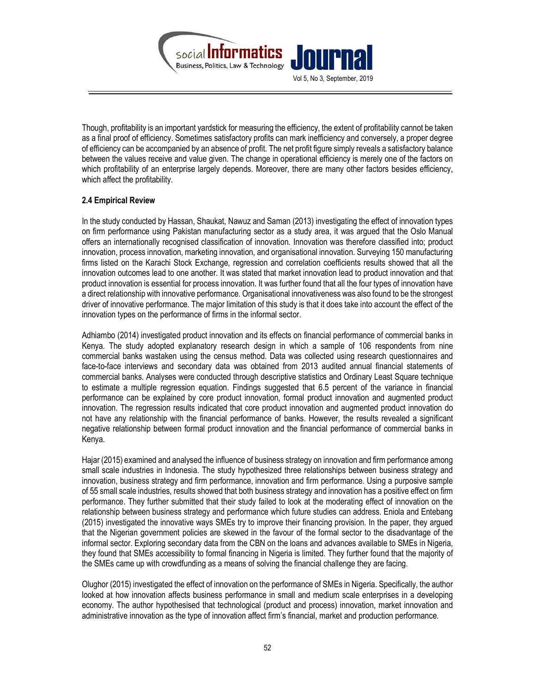

Though, profitability is an important yardstick for measuring the efficiency, the extent of profitability cannot be taken as a final proof of efficiency. Sometimes satisfactory profits can mark inefficiency and conversely, a proper degree of efficiency can be accompanied by an absence of profit. The net profit figure simply reveals a satisfactory balance between the values receive and value given. The change in operational efficiency is merely one of the factors on which profitability of an enterprise largely depends. Moreover, there are many other factors besides efficiency, which affect the profitability.

# 2.4 Empirical Review

In the study conducted by Hassan, Shaukat, Nawuz and Saman (2013) investigating the effect of innovation types on firm performance using Pakistan manufacturing sector as a study area, it was argued that the Oslo Manual offers an internationally recognised classification of innovation. Innovation was therefore classified into; product innovation, process innovation, marketing innovation, and organisational innovation. Surveying 150 manufacturing firms listed on the Karachi Stock Exchange, regression and correlation coefficients results showed that all the innovation outcomes lead to one another. It was stated that market innovation lead to product innovation and that product innovation is essential for process innovation. It was further found that all the four types of innovation have a direct relationship with innovative performance. Organisational innovativeness was also found to be the strongest driver of innovative performance. The major limitation of this study is that it does take into account the effect of the innovation types on the performance of firms in the informal sector.

Adhiambo (2014) investigated product innovation and its effects on financial performance of commercial banks in Kenya. The study adopted explanatory research design in which a sample of 106 respondents from nine commercial banks wastaken using the census method. Data was collected using research questionnaires and face-to-face interviews and secondary data was obtained from 2013 audited annual financial statements of commercial banks. Analyses were conducted through descriptive statistics and Ordinary Least Square technique to estimate a multiple regression equation. Findings suggested that 6.5 percent of the variance in financial performance can be explained by core product innovation, formal product innovation and augmented product innovation. The regression results indicated that core product innovation and augmented product innovation do not have any relationship with the financial performance of banks. However, the results revealed a significant negative relationship between formal product innovation and the financial performance of commercial banks in Kenya.

Hajar (2015) examined and analysed the influence of business strategy on innovation and firm performance among small scale industries in Indonesia. The study hypothesized three relationships between business strategy and innovation, business strategy and firm performance, innovation and firm performance. Using a purposive sample of 55 small scale industries, results showed that both business strategy and innovation has a positive effect on firm performance. They further submitted that their study failed to look at the moderating effect of innovation on the relationship between business strategy and performance which future studies can address. Eniola and Entebang (2015) investigated the innovative ways SMEs try to improve their financing provision. In the paper, they argued that the Nigerian government policies are skewed in the favour of the formal sector to the disadvantage of the informal sector. Exploring secondary data from the CBN on the loans and advances available to SMEs in Nigeria, they found that SMEs accessibility to formal financing in Nigeria is limited. They further found that the majority of the SMEs came up with crowdfunding as a means of solving the financial challenge they are facing.

Olughor (2015) investigated the effect of innovation on the performance of SMEs in Nigeria. Specifically, the author looked at how innovation affects business performance in small and medium scale enterprises in a developing economy. The author hypothesised that technological (product and process) innovation, market innovation and administrative innovation as the type of innovation affect firm's financial, market and production performance.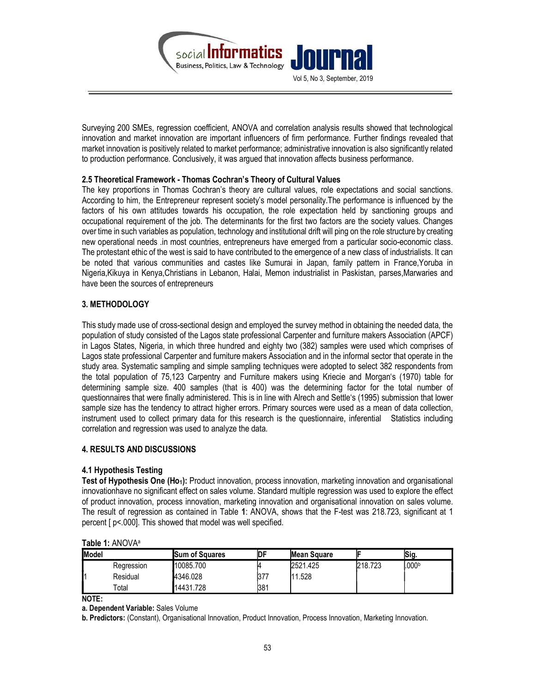

Surveying 200 SMEs, regression coefficient, ANOVA and correlation analysis results showed that technological innovation and market innovation are important influencers of firm performance. Further findings revealed that market innovation is positively related to market performance; administrative innovation is also significantly related to production performance. Conclusively, it was argued that innovation affects business performance.

## 2.5 Theoretical Framework - Thomas Cochran's Theory of Cultural Values

The key proportions in Thomas Cochran's theory are cultural values, role expectations and social sanctions. According to him, the Entrepreneur represent society's model personality.The performance is influenced by the factors of his own attitudes towards his occupation, the role expectation held by sanctioning groups and occupational requirement of the job. The determinants for the first two factors are the society values. Changes over time in such variables as population, technology and institutional drift will ping on the role structure by creating new operational needs .in most countries, entrepreneurs have emerged from a particular socio-economic class. The protestant ethic of the west is said to have contributed to the emergence of a new class of industrialists. It can be noted that various communities and castes like Sumurai in Japan, family pattern in France,Yoruba in Nigeria,Kikuya in Kenya,Christians in Lebanon, Halai, Memon industrialist in Paskistan, parses,Marwaries and have been the sources of entrepreneurs

# 3. METHODOLOGY

This study made use of cross-sectional design and employed the survey method in obtaining the needed data, the population of study consisted of the Lagos state professional Carpenter and furniture makers Association (APCF) in Lagos States, Nigeria, in which three hundred and eighty two (382) samples were used which comprises of Lagos state professional Carpenter and furniture makers Association and in the informal sector that operate in the study area. Systematic sampling and simple sampling techniques were adopted to select 382 respondents from the total population of 75,123 Carpentry and Furniture makers using Kriecie and Morgan's (1970) table for determining sample size. 400 samples (that is 400) was the determining factor for the total number of questionnaires that were finally administered. This is in line with Alrech and Settle's (1995) submission that lower sample size has the tendency to attract higher errors. Primary sources were used as a mean of data collection, instrument used to collect primary data for this research is the questionnaire, inferential Statistics including correlation and regression was used to analyze the data.

# 4. RESULTS AND DISCUSSIONS

# 4.1 Hypothesis Testing

Test of Hypothesis One (Ho<sub>1</sub>): Product innovation, process innovation, marketing innovation and organisational innovationhave no significant effect on sales volume. Standard multiple regression was used to explore the effect of product innovation, process innovation, marketing innovation and organisational innovation on sales volume. The result of regression as contained in Table 1: ANOVA, shows that the F-test was 218.723, significant at 1 percent [ p<.000]. This showed that model was well specified.

| <b>I</b> Model |             | <b>Sum of Squares</b> | IDF | <b>Mean Square</b> |         | Sig.              |
|----------------|-------------|-----------------------|-----|--------------------|---------|-------------------|
|                | Regression  | 10085.700             |     | 2521.425           | 218.723 | .000 <sub>b</sub> |
|                | Residual    | 4346.028              | 377 | 1.528              |         |                   |
|                | $\tau$ otal | 14431.728             | 381 |                    |         |                   |

## Table 1: ANOVA<sup>a</sup>

NOTE:

a. Dependent Variable: Sales Volume

b. Predictors: (Constant), Organisational Innovation, Product Innovation, Process Innovation, Marketing Innovation.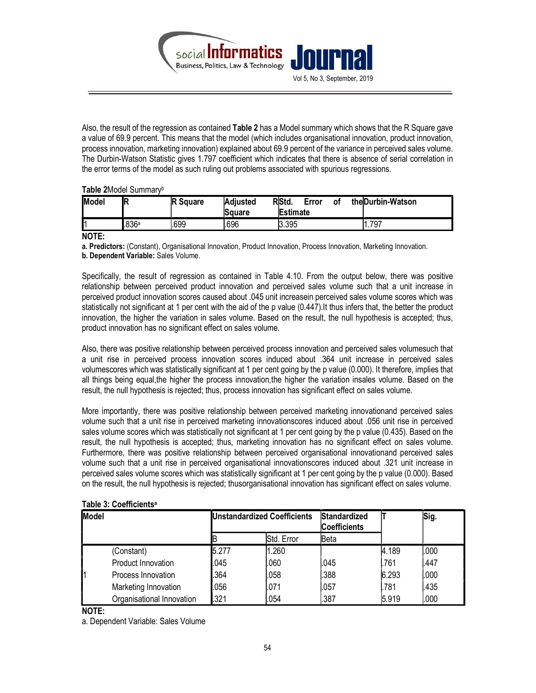

Also, the result of the regression as contained Table 2 has a Model summary which shows that the R Square gave a value of 69.9 percent. This means that the model (which includes organisational innovation, product innovation, process innovation, marketing innovation) explained about 69.9 percent of the variance in perceived sales volume. The Durbin-Watson Statistic gives 1.797 coefficient which indicates that there is absence of serial correlation in the error terms of the model as such ruling out problems associated with spurious regressions.

Table 2Model Summary<sup>b</sup>

| Model | IR    | <b>IR Square</b> | Adjusted<br>Square | RStd.<br>Error<br>٥t<br>Estimate | the Durbin-Watson |
|-------|-------|------------------|--------------------|----------------------------------|-------------------|
| I1    | .836a | .699             | .696               | 3.395                            | 1.797             |

NOTE:

a. Predictors: (Constant), Organisational Innovation, Product Innovation, Process Innovation, Marketing Innovation.

b. Dependent Variable: Sales Volume.

Specifically, the result of regression as contained in Table 4.10. From the output below, there was positive relationship between perceived product innovation and perceived sales volume such that a unit increase in perceived product innovation scores caused about .045 unit increasein perceived sales volume scores which was statistically not significant at 1 per cent with the aid of the p value (0.447).It thus infers that, the better the product innovation, the higher the variation in sales volume. Based on the result, the null hypothesis is accepted; thus, product innovation has no significant effect on sales volume.

Also, there was positive relationship between perceived process innovation and perceived sales volumesuch that a unit rise in perceived process innovation scores induced about .364 unit increase in perceived sales volumescores which was statistically significant at 1 per cent going by the p value (0.000). It therefore, implies that all things being equal,the higher the process innovation,the higher the variation insales volume. Based on the result, the null hypothesis is rejected; thus, process innovation has significant effect on sales volume.

More importantly, there was positive relationship between perceived marketing innovationand perceived sales volume such that a unit rise in perceived marketing innovationscores induced about .056 unit rise in perceived sales volume scores which was statistically not significant at 1 per cent going by the p value (0.435). Based on the result, the null hypothesis is accepted; thus, marketing innovation has no significant effect on sales volume. Furthermore, there was positive relationship between perceived organisational innovationand perceived sales volume such that a unit rise in perceived organisational innovationscores induced about .321 unit increase in perceived sales volume scores which was statistically significant at 1 per cent going by the p value (0.000). Based on the result, the null hypothesis is rejected; thusorganisational innovation has significant effect on sales volume.

| Model |                           |       | <b>Unstandardized Coefficients</b> | <b>Standardized</b><br> Coefficients |       | Sig. |
|-------|---------------------------|-------|------------------------------------|--------------------------------------|-------|------|
|       |                           |       | Std. Error                         | lBeta                                |       |      |
|       | (Constant)                | 5.277 | 1.260                              |                                      | 4.189 | .000 |
|       | Product Innovation        | .045  | .060                               | .045                                 | .761  | .447 |
|       | Process Innovation        | .364  | .058                               | .388                                 | 6.293 | .000 |
|       | Marketing Innovation      | .056  | .071                               | .057                                 | .781  | .435 |
|       | Organisational Innovation | .321  | .054                               | .387                                 | 5.919 | .000 |

# Table 3: Coefficients<sup>a</sup>

NOTE:

a. Dependent Variable: Sales Volume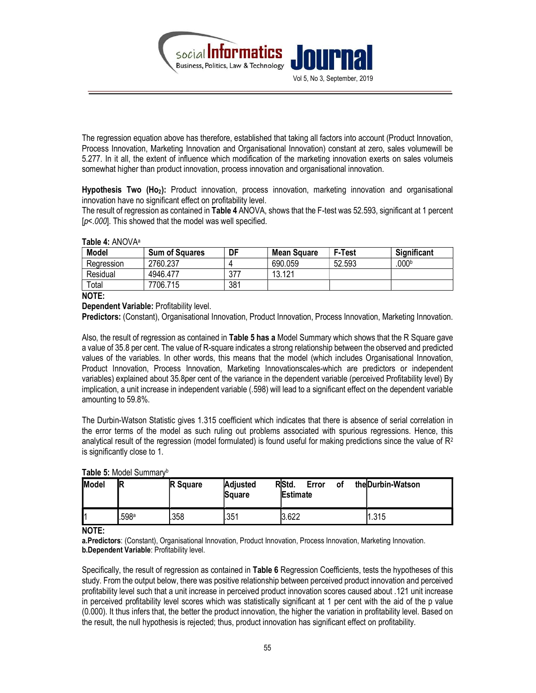

The regression equation above has therefore, established that taking all factors into account (Product Innovation, Process Innovation, Marketing Innovation and Organisational Innovation) constant at zero, sales volumewill be 5.277. In it all, the extent of influence which modification of the marketing innovation exerts on sales volumeis somewhat higher than product innovation, process innovation and organisational innovation.

Hypothesis Two (Ho<sub>2</sub>): Product innovation, process innovation, marketing innovation and organisational innovation have no significant effect on profitability level.

The result of regression as contained in Table 4 ANOVA, shows that the F-test was 52.593, significant at 1 percent  $[p<.000]$ . This showed that the model was well specified.

## Table 4: ANOVA<sup>a</sup>

| <b>Model</b> | <b>Sum of Squares</b> | DF  | <b>Mean Square</b> | <b>F-Test</b> | <b>Significant</b> |
|--------------|-----------------------|-----|--------------------|---------------|--------------------|
| Regression   | 2760.237              |     | 690.059            | 52.593        | 000b               |
| Residual     | 4946.477              | 377 | 13.121             |               |                    |
| Total        | 7706.715              | 381 |                    |               |                    |

NOTE:

Dependent Variable: Profitability level.

Predictors: (Constant), Organisational Innovation, Product Innovation, Process Innovation, Marketing Innovation.

Also, the result of regression as contained in Table 5 has a Model Summary which shows that the R Square gave a value of 35.8 per cent. The value of R-square indicates a strong relationship between the observed and predicted values of the variables. In other words, this means that the model (which includes Organisational Innovation, Product Innovation, Process Innovation, Marketing Innovationscales-which are predictors or independent variables) explained about 35.8per cent of the variance in the dependent variable (perceived Profitability level) By implication, a unit increase in independent variable (.598) will lead to a significant effect on the dependent variable amounting to 59.8%.

The Durbin-Watson Statistic gives 1.315 coefficient which indicates that there is absence of serial correlation in the error terms of the model as such ruling out problems associated with spurious regressions. Hence, this analytical result of the regression (model formulated) is found useful for making predictions since the value of  $\mathbb{R}^2$ is significantly close to 1.

| <b>Model</b> | ΊR    | <b>R</b> Square | <b>Adjusted</b><br><b>S</b> quare | RStd.<br>Error<br><b>Estimate</b> | οf | the Durbin-Watson |
|--------------|-------|-----------------|-----------------------------------|-----------------------------------|----|-------------------|
|              | .598ª | .358            | .351                              | 3.622                             |    | 1.315             |

## Table 5: Model Summary<sup>b</sup>

NOTE:

a.Predictors: (Constant), Organisational Innovation, Product Innovation, Process Innovation, Marketing Innovation, b.Dependent Variable: Profitability level.

Specifically, the result of regression as contained in Table 6 Regression Coefficients, tests the hypotheses of this study. From the output below, there was positive relationship between perceived product innovation and perceived profitability level such that a unit increase in perceived product innovation scores caused about .121 unit increase in perceived profitability level scores which was statistically significant at 1 per cent with the aid of the p value (0.000). It thus infers that, the better the product innovation, the higher the variation in profitability level. Based on the result, the null hypothesis is rejected; thus, product innovation has significant effect on profitability.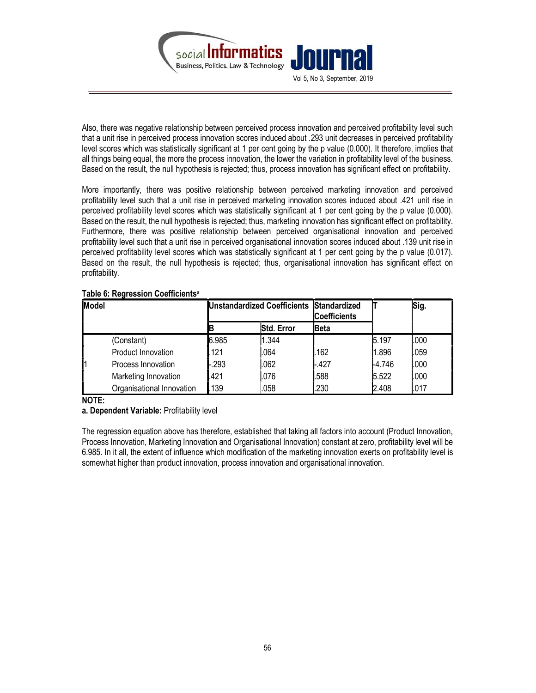

Also, there was negative relationship between perceived process innovation and perceived profitability level such that a unit rise in perceived process innovation scores induced about .293 unit decreases in perceived profitability level scores which was statistically significant at 1 per cent going by the p value (0.000). It therefore, implies that all things being equal, the more the process innovation, the lower the variation in profitability level of the business. Based on the result, the null hypothesis is rejected; thus, process innovation has significant effect on profitability.

More importantly, there was positive relationship between perceived marketing innovation and perceived profitability level such that a unit rise in perceived marketing innovation scores induced about .421 unit rise in perceived profitability level scores which was statistically significant at 1 per cent going by the p value (0.000). Based on the result, the null hypothesis is rejected; thus, marketing innovation has significant effect on profitability. Furthermore, there was positive relationship between perceived organisational innovation and perceived profitability level such that a unit rise in perceived organisational innovation scores induced about .139 unit rise in perceived profitability level scores which was statistically significant at 1 per cent going by the p value (0.017). Based on the result, the null hypothesis is rejected; thus, organisational innovation has significant effect on profitability.

| Table 6: Regression Coefficients <sup>a</sup> |  |
|-----------------------------------------------|--|
|-----------------------------------------------|--|

| <b>I</b> Model |                           |        | Unstandardized Coefficients Standardized | <b>Coefficients</b> |          | Sig.  |
|----------------|---------------------------|--------|------------------------------------------|---------------------|----------|-------|
|                |                           |        | <b>Std. Error</b>                        | <b>IBeta</b>        |          |       |
|                | (Constant)                | 6.985  | 1.344                                    |                     | 5.197    | 1.000 |
|                | Product Innovation        | .121   | .064                                     | .162                | 1.896    | .059  |
|                | Process Innovation        | $-293$ | .062                                     | $-427$              | $-4.746$ | .000  |
|                | Marketing Innovation      | .421   | .076                                     | .588                | 5.522    | .000  |
|                | Organisational Innovation | 139    | .058                                     | .230                | 2.408    | .017  |

NOTE:

a. Dependent Variable: Profitability level

The regression equation above has therefore, established that taking all factors into account (Product Innovation, Process Innovation, Marketing Innovation and Organisational Innovation) constant at zero, profitability level will be 6.985. In it all, the extent of influence which modification of the marketing innovation exerts on profitability level is somewhat higher than product innovation, process innovation and organisational innovation.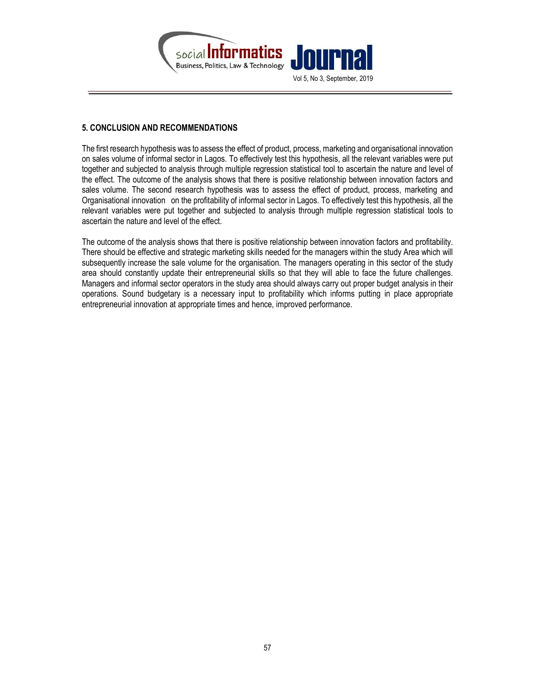

# 5. CONCLUSION AND RECOMMENDATIONS

The first research hypothesis was to assess the effect of product, process, marketing and organisational innovation on sales volume of informal sector in Lagos. To effectively test this hypothesis, all the relevant variables were put together and subjected to analysis through multiple regression statistical tool to ascertain the nature and level of the effect. The outcome of the analysis shows that there is positive relationship between innovation factors and sales volume. The second research hypothesis was to assess the effect of product, process, marketing and Organisational innovation on the profitability of informal sector in Lagos. To effectively test this hypothesis, all the relevant variables were put together and subjected to analysis through multiple regression statistical tools to ascertain the nature and level of the effect.

The outcome of the analysis shows that there is positive relationship between innovation factors and profitability. There should be effective and strategic marketing skills needed for the managers within the study Area which will subsequently increase the sale volume for the organisation. The managers operating in this sector of the study area should constantly update their entrepreneurial skills so that they will able to face the future challenges. Managers and informal sector operators in the study area should always carry out proper budget analysis in their operations. Sound budgetary is a necessary input to profitability which informs putting in place appropriate entrepreneurial innovation at appropriate times and hence, improved performance.